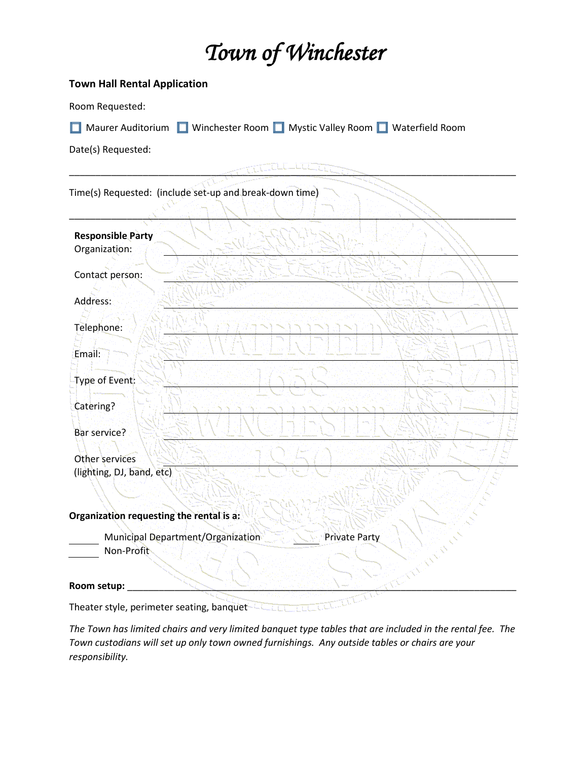## *Town of Winchester*

## **Town Hall Rental Application**

Room Requested:

Maurer Auditorium Nuinchester Room Nuystic Valley Room Nuaterfield Room

Date(s) Requested:

\_\_\_\_\_\_\_\_\_\_\_\_\_\_\_\_\_\_\_\_\_\_\_\_\_\_\_\_\_\_\_\_\_\_\_\_\_\_\_\_\_\_\_\_\_\_\_\_\_\_\_\_\_\_\_\_\_\_\_\_\_\_\_\_\_\_\_\_\_\_\_\_\_\_\_\_\_\_\_\_\_\_\_\_\_ Time(s) Requested: (include set-up and break-down time) \_\_\_\_\_\_\_\_\_\_\_\_\_\_\_\_\_\_\_\_\_\_\_\_\_\_\_\_\_\_\_\_\_\_\_\_\_\_\_\_\_\_\_\_\_\_\_\_\_\_\_\_\_\_\_\_\_\_\_\_\_\_\_\_\_\_\_\_\_\_\_\_\_\_\_\_\_\_\_\_\_\_\_\_\_ **Responsible Party** Organization: Contact person: Address: Telephone: Email: Type of Event: Catering? Bar service? Other services (lighting, DJ, band, etc) **Organization requesting the rental is a:** Municipal Department/Organization Private Party Non-Profit Room setup: Theater style, perimeter seating, banquet

*The Town has limited chairs and very limited banquet type tables that are included in the rental fee. The Town custodians will set up only town owned furnishings. Any outside tables or chairs are your responsibility.*